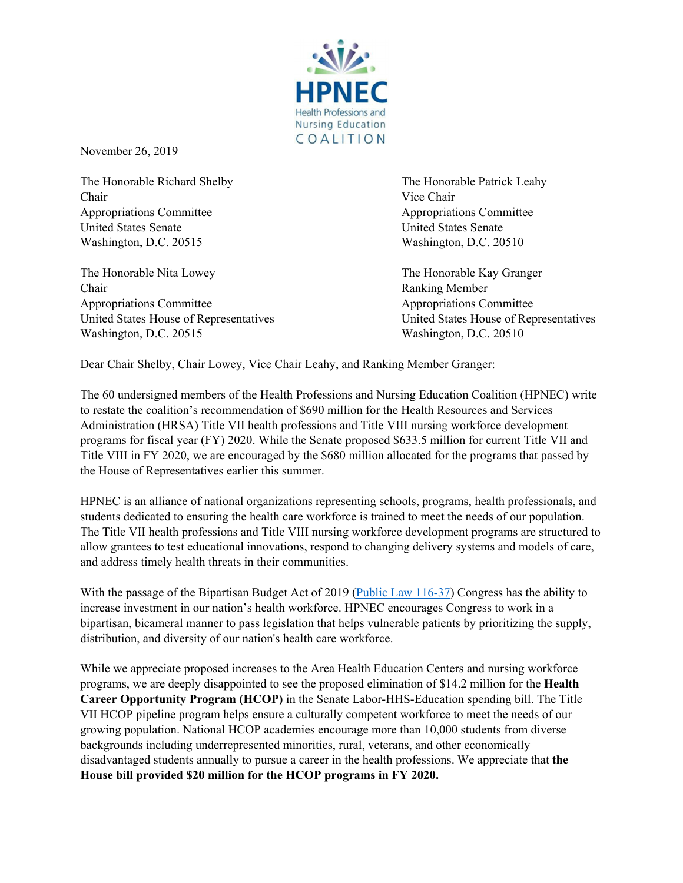

November 26, 2019

The Honorable Richard Shelby **The Honorable Patrick Leahy** The Honorable Patrick Leahy Chair Vice Chair Appropriations Committee  $\blacksquare$ United States Senate United States Senate Washington, D.C. 20515 Washington, D.C. 20510

The Honorable Nita Lowey **The Honorable Kay Granger The Honorable Kay Granger** Chair Ranking Member Appropriations Committee *Appropriations* Committee *Appropriations* Committee United States House of Representatives United States House of Representatives Washington, D.C. 20515 Washington, D.C. 20510

Dear Chair Shelby, Chair Lowey, Vice Chair Leahy, and Ranking Member Granger:

The 60 undersigned members of the Health Professions and Nursing Education Coalition (HPNEC) write to restate the coalition's recommendation of \$690 million for the Health Resources and Services Administration (HRSA) Title VII health professions and Title VIII nursing workforce development programs for fiscal year (FY) 2020. While the Senate proposed \$633.5 million for current Title VII and Title VIII in FY 2020, we are encouraged by the \$680 million allocated for the programs that passed by the House of Representatives earlier this summer.

HPNEC is an alliance of national organizations representing schools, programs, health professionals, and students dedicated to ensuring the health care workforce is trained to meet the needs of our population. The Title VII health professions and Title VIII nursing workforce development programs are structured to allow grantees to test educational innovations, respond to changing delivery systems and models of care, and address timely health threats in their communities.

With the passage of the Bipartisan Budget Act of 2019 (Public Law 116-37) Congress has the ability to increase investment in our nation's health workforce. HPNEC encourages Congress to work in a bipartisan, bicameral manner to pass legislation that helps vulnerable patients by prioritizing the supply, distribution, and diversity of our nation's health care workforce.

While we appreciate proposed increases to the Area Health Education Centers and nursing workforce programs, we are deeply disappointed to see the proposed elimination of \$14.2 million for the **Health Career Opportunity Program (HCOP)** in the Senate Labor-HHS-Education spending bill. The Title VII HCOP pipeline program helps ensure a culturally competent workforce to meet the needs of our growing population. National HCOP academies encourage more than 10,000 students from diverse backgrounds including underrepresented minorities, rural, veterans, and other economically disadvantaged students annually to pursue a career in the health professions. We appreciate that **the House bill provided \$20 million for the HCOP programs in FY 2020.**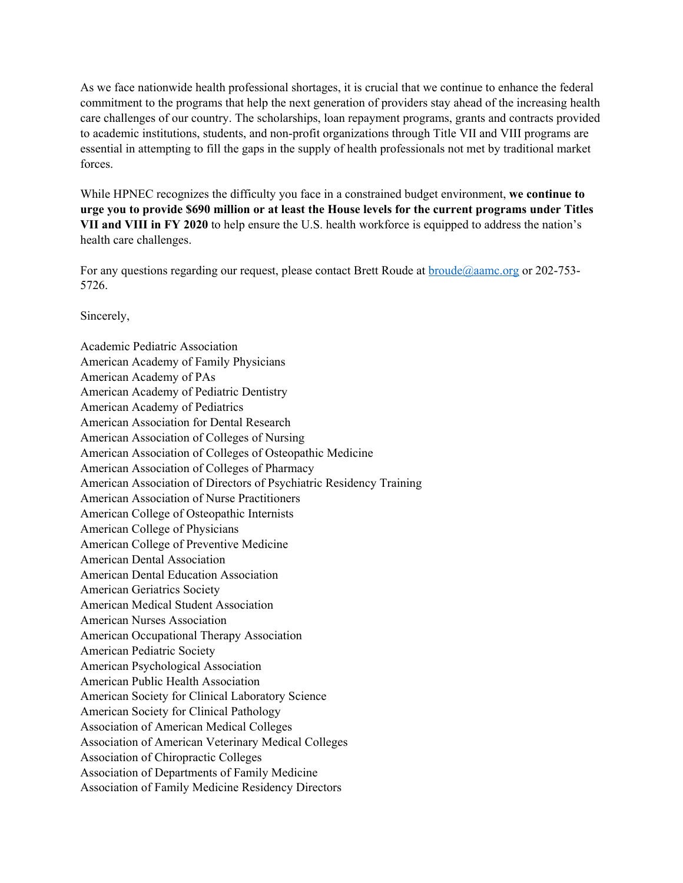As we face nationwide health professional shortages, it is crucial that we continue to enhance the federal commitment to the programs that help the next generation of providers stay ahead of the increasing health care challenges of our country. The scholarships, loan repayment programs, grants and contracts provided to academic institutions, students, and non-profit organizations through Title VII and VIII programs are essential in attempting to fill the gaps in the supply of health professionals not met by traditional market forces.

While HPNEC recognizes the difficulty you face in a constrained budget environment, **we continue to urge you to provide \$690 million or at least the House levels for the current programs under Titles VII and VIII in FY 2020** to help ensure the U.S. health workforce is equipped to address the nation's health care challenges.

For any questions regarding our request, please contact Brett Roude at **broude@aamc.org** or 202-753-5726.

Sincerely,

Academic Pediatric Association American Academy of Family Physicians American Academy of PAs American Academy of Pediatric Dentistry American Academy of Pediatrics American Association for Dental Research American Association of Colleges of Nursing American Association of Colleges of Osteopathic Medicine American Association of Colleges of Pharmacy American Association of Directors of Psychiatric Residency Training American Association of Nurse Practitioners American College of Osteopathic Internists American College of Physicians American College of Preventive Medicine American Dental Association American Dental Education Association American Geriatrics Society American Medical Student Association American Nurses Association American Occupational Therapy Association American Pediatric Society American Psychological Association American Public Health Association American Society for Clinical Laboratory Science American Society for Clinical Pathology Association of American Medical Colleges Association of American Veterinary Medical Colleges Association of Chiropractic Colleges Association of Departments of Family Medicine Association of Family Medicine Residency Directors